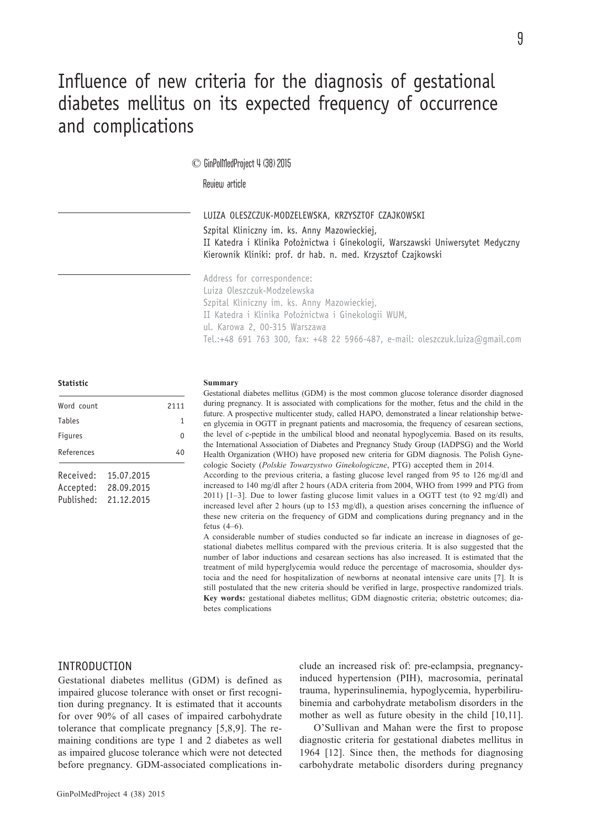# Influence of new criteria for the diagnosis of gestational diabetes mellitus on its expected frequency of occurrence and complications

# © GinPolMedProject 4 (38) 2015

Review article

LUIZA OLESZCZUK-MODZELEWSKA, KRZYSZTOF CZAJKOWSKI

Szpital Kliniczny im. ks. Anny Mazowieckiej, II Katedra i Klinika Położnictwa i Ginekologii, Warszawski Uniwersytet Medyczny Kierownik Kliniki: prof. dr hab. n. med. Krzysztof Czajkowski

Address for correspondence: Luiza Oleszczuk-Modzelewska Szpital Kliniczny im. ks. Anny Mazowieckiej, II Katedra i Klinika Położnictwa i Ginekologii WUM, ul. Karowa 2, 00-315 Warszawa Tel.:+48 691 763 300, fax: +48 22 5966-487, e-mail: oleszczuk.luiza@gmail.com

### **Statistic**

| Word count                           |                                        | 2111 |
|--------------------------------------|----------------------------------------|------|
| Tables                               |                                        | 1    |
| Figures                              |                                        | U    |
| References                           |                                        | 40   |
| Received:<br>Accepted:<br>Published: | 15.07.2015<br>28,09,2015<br>21.12.2015 |      |

#### **Summary**

Gestational diabetes mellitus (GDM) is the most common glucose tolerance disorder diagnosed during pregnancy. It is associated with complications for the mother, fetus and the child in the future. A prospective multicenter study, called HAPO, demonstrated a linear relationship between glycemia in OGTT in pregnant patients and macrosomia, the frequency of cesarean sections, the level of c-peptide in the umbilical blood and neonatal hypoglycemia. Based on its results, the International Association of Diabetes and Pregnancy Study Group (IADPSG) and the World Health Organization (WHO) have proposed new criteria for GDM diagnosis. The Polish Gynecologic Society (*Polskie Towarzystwo Ginekologiczne*, PTG) accepted them in 2014.

According to the previous criteria, a fasting glucose level ranged from 95 to 126 mg/dl and increased to 140 mg/dl after 2 hours (ADA criteria from 2004, WHO from 1999 and PTG from 2011) [1–3]. Due to lower fasting glucose limit values in a OGTT test (to 92 mg/dl) and increased level after 2 hours (up to 153 mg/dl), a question arises concerning the influence of these new criteria on the frequency of GDM and complications during pregnancy and in the fetus (4–6).

A considerable number of studies conducted so far indicate an increase in diagnoses of gestational diabetes mellitus compared with the previous criteria. It is also suggested that the number of labor inductions and cesarean sections has also increased. It is estimated that the treatment of mild hyperglycemia would reduce the percentage of macrosomia, shoulder dystocia and the need for hospitalization of newborns at neonatal intensive care units [7]. It is still postulated that the new criteria should be verified in large, prospective randomized trials. **Key words:** gestational diabetes mellitus; GDM diagnostic criteria; obstetric outcomes; diabetes complications

# INTRODUCTION

Gestational diabetes mellitus (GDM) is defined as impaired glucose tolerance with onset or first recognition during pregnancy. It is estimated that it accounts for over 90% of all cases of impaired carbohydrate tolerance that complicate pregnancy [5,8,9]. The remaining conditions are type 1 and 2 diabetes as well as impaired glucose tolerance which were not detected before pregnancy. GDM-associated complications include an increased risk of: pre-eclampsia, pregnancyinduced hypertension (PIH), macrosomia, perinatal trauma, hyperinsulinemia, hypoglycemia, hyperbilirubinemia and carbohydrate metabolism disorders in the mother as well as future obesity in the child [10,11].

O'Sullivan and Mahan were the first to propose diagnostic criteria for gestational diabetes mellitus in 1964 [12]. Since then, the methods for diagnosing carbohydrate metabolic disorders during pregnancy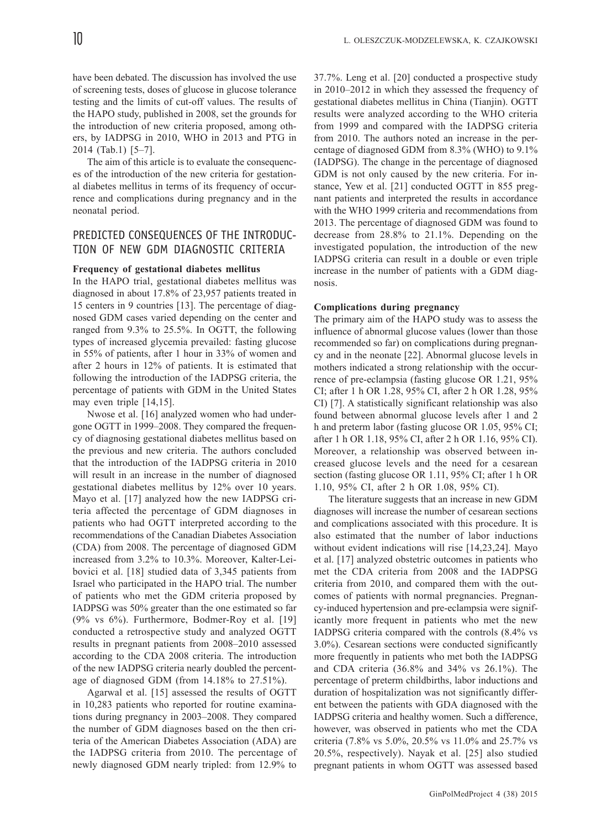have been debated. The discussion has involved the use of screening tests, doses of glucose in glucose tolerance testing and the limits of cut-off values. The results of the HAPO study, published in 2008, set the grounds for the introduction of new criteria proposed, among others, by IADPSG in 2010, WHO in 2013 and PTG in 2014 (Tab.1) [5–7].

The aim of this article is to evaluate the consequences of the introduction of the new criteria for gestational diabetes mellitus in terms of its frequency of occurrence and complications during pregnancy and in the neonatal period.

# PREDICTED CONSEQUENCES OF THE INTRODUC-TION OF NEW GDM DIAGNOSTIC CRITERIA

## **Frequency of gestational diabetes mellitus**

In the HAPO trial, gestational diabetes mellitus was diagnosed in about 17.8% of 23,957 patients treated in 15 centers in 9 countries [13]. The percentage of diagnosed GDM cases varied depending on the center and ranged from 9.3% to 25.5%. In OGTT, the following types of increased glycemia prevailed: fasting glucose in 55% of patients, after 1 hour in 33% of women and after 2 hours in 12% of patients. It is estimated that following the introduction of the IADPSG criteria, the percentage of patients with GDM in the United States may even triple [14,15].

Nwose et al. [16] analyzed women who had undergone OGTT in 1999–2008. They compared the frequency of diagnosing gestational diabetes mellitus based on the previous and new criteria. The authors concluded that the introduction of the IADPSG criteria in 2010 will result in an increase in the number of diagnosed gestational diabetes mellitus by 12% over 10 years. Mayo et al. [17] analyzed how the new IADPSG criteria affected the percentage of GDM diagnoses in patients who had OGTT interpreted according to the recommendations of the Canadian Diabetes Association (CDA) from 2008. The percentage of diagnosed GDM increased from 3.2% to 10.3%. Moreover, Kalter-Leibovici et al. [18] studied data of 3,345 patients from Israel who participated in the HAPO trial. The number of patients who met the GDM criteria proposed by IADPSG was 50% greater than the one estimated so far (9% vs 6%). Furthermore, Bodmer-Roy et al. [19] conducted a retrospective study and analyzed OGTT results in pregnant patients from 2008–2010 assessed according to the CDA 2008 criteria. The introduction of the new IADPSG criteria nearly doubled the percentage of diagnosed GDM (from 14.18% to 27.51%).

Agarwal et al. [15] assessed the results of OGTT in 10,283 patients who reported for routine examinations during pregnancy in 2003–2008. They compared the number of GDM diagnoses based on the then criteria of the American Diabetes Association (ADA) are the IADPSG criteria from 2010. The percentage of newly diagnosed GDM nearly tripled: from 12.9% to

37.7%. Leng et al. [20] conducted a prospective study in 2010–2012 in which they assessed the frequency of gestational diabetes mellitus in China (Tianjin). OGTT results were analyzed according to the WHO criteria from 1999 and compared with the IADPSG criteria from 2010. The authors noted an increase in the percentage of diagnosed GDM from 8.3% (WHO) to 9.1% (IADPSG). The change in the percentage of diagnosed GDM is not only caused by the new criteria. For instance, Yew et al. [21] conducted OGTT in 855 pregnant patients and interpreted the results in accordance with the WHO 1999 criteria and recommendations from 2013. The percentage of diagnosed GDM was found to decrease from 28.8% to 21.1%. Depending on the investigated population, the introduction of the new IADPSG criteria can result in a double or even triple increase in the number of patients with a GDM diagnosis.

## **Complications during pregnancy**

The primary aim of the HAPO study was to assess the influence of abnormal glucose values (lower than those recommended so far) on complications during pregnancy and in the neonate [22]. Abnormal glucose levels in mothers indicated a strong relationship with the occurrence of pre-eclampsia (fasting glucose OR 1.21, 95% CI; after 1 h OR 1.28, 95% CI, after 2 h OR 1.28, 95% CI) [7]. A statistically significant relationship was also found between abnormal glucose levels after 1 and 2 h and preterm labor (fasting glucose OR 1.05, 95% CI; after 1 h OR 1.18, 95% CI, after 2 h OR 1.16, 95% CI). Moreover, a relationship was observed between increased glucose levels and the need for a cesarean section (fasting glucose OR 1.11, 95% CI; after 1 h OR 1.10, 95% CI, after 2 h OR 1.08, 95% CI).

The literature suggests that an increase in new GDM diagnoses will increase the number of cesarean sections and complications associated with this procedure. It is also estimated that the number of labor inductions without evident indications will rise [14,23,24]. Mayo et al. [17] analyzed obstetric outcomes in patients who met the CDA criteria from 2008 and the IADPSG criteria from 2010, and compared them with the outcomes of patients with normal pregnancies. Pregnancy-induced hypertension and pre-eclampsia were significantly more frequent in patients who met the new IADPSG criteria compared with the controls (8.4% vs 3.0%). Cesarean sections were conducted significantly more frequently in patients who met both the IADPSG and CDA criteria (36.8% and 34% vs 26.1%). The percentage of preterm childbirths, labor inductions and duration of hospitalization was not significantly different between the patients with GDA diagnosed with the IADPSG criteria and healthy women. Such a difference, however, was observed in patients who met the CDA criteria (7.8% vs 5.0%, 20.5% vs 11.0% and 25.7% vs 20.5%, respectively). Nayak et al. [25] also studied pregnant patients in whom OGTT was assessed based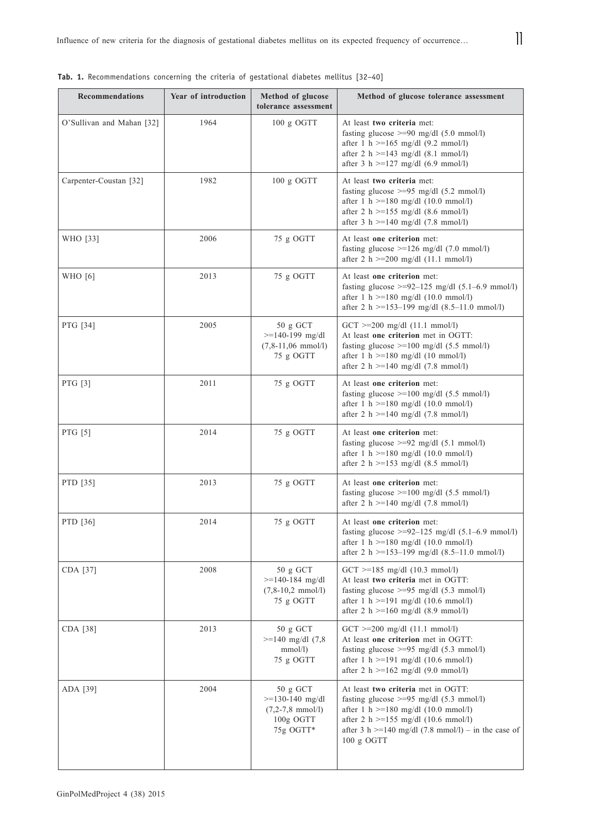**Tab. 1.** Recommendations concerning the criteria of gestational diabetes mellitus [32–40]

| <b>Recommendations</b>    | Year of introduction | Method of glucose<br>tolerance assessment                                             | Method of glucose tolerance assessment                                                                                                                                                                                                                    |
|---------------------------|----------------------|---------------------------------------------------------------------------------------|-----------------------------------------------------------------------------------------------------------------------------------------------------------------------------------------------------------------------------------------------------------|
| O'Sullivan and Mahan [32] | 1964                 | $100 g$ OGTT                                                                          | At least two criteria met:<br>fasting glucose $>=$ 90 mg/dl (5.0 mmol/l)<br>after 1 h $>=165$ mg/dl (9.2 mmol/l)<br>after 2 h $>=$ 143 mg/dl (8.1 mmol/l)<br>after 3 h $>=127 \text{ mg/dl} (6.9 \text{ mmol/l})$                                         |
| Carpenter-Coustan [32]    | 1982                 | 100 g OGTT                                                                            | At least two criteria met:<br>fasting glucose $>=$ 95 mg/dl (5.2 mmol/l)<br>after 1 h $>=$ 180 mg/dl (10.0 mmol/l)<br>after 2 h $>=155$ mg/dl (8.6 mmol/l)<br>after 3 h $>=$ 140 mg/dl (7.8 mmol/l)                                                       |
| WHO [33]                  | 2006                 | 75 g OGTT                                                                             | At least one criterion met:<br>fasting glucose $>=126$ mg/dl (7.0 mmol/l)<br>after 2 h $>=$ 200 mg/dl (11.1 mmol/l)                                                                                                                                       |
| WHO [6]                   | 2013                 | 75 g OGTT                                                                             | At least one criterion met:<br>fasting glucose $\geq$ =92-125 mg/dl (5.1-6.9 mmol/l)<br>after 1 h $>=$ 180 mg/dl (10.0 mmol/l)<br>after 2 h $>=$ 153-199 mg/dl (8.5-11.0 mmol/l)                                                                          |
| PTG [34]                  | 2005                 | 50 g GCT<br>$>= 140 - 199$ mg/dl<br>$(7, 8-11, 06 \text{ mmol/l})$<br>75 g OGTT       | $GCT \ge 200$ mg/dl $(11.1$ mmol/l)<br>At least one criterion met in OGTT:<br>fasting glucose $>=100$ mg/dl (5.5 mmol/l)<br>after 1 h $>=$ 180 mg/dl (10 mmol/l)<br>after 2 h $>=$ 140 mg/dl (7.8 mmol/l)                                                 |
| PTG [3]                   | 2011                 | 75 g OGTT                                                                             | At least one criterion met:<br>fasting glucose $>=100$ mg/dl (5.5 mmol/l)<br>after 1 h $>=$ 180 mg/dl (10.0 mmol/l)<br>after 2 h $>=$ 140 mg/dl (7.8 mmol/l)                                                                                              |
| PTG [5]                   | 2014                 | 75 g OGTT                                                                             | At least one criterion met:<br>fasting glucose $>=$ 92 mg/dl (5.1 mmol/l)<br>after 1 h $>=$ 180 mg/dl (10.0 mmol/l)<br>after 2 h $>=153$ mg/dl (8.5 mmol/l)                                                                                               |
| PTD [35]                  | 2013                 | 75 g OGTT                                                                             | At least one criterion met:<br>fasting glucose $>=100$ mg/dl (5.5 mmol/l)<br>after 2 h $>=$ 140 mg/dl (7.8 mmol/l)                                                                                                                                        |
| PTD [36]                  | 2014                 | 75 g OGTT                                                                             | At least one criterion met:<br>fasting glucose $\geq$ =92-125 mg/dl (5.1-6.9 mmol/l)<br>after 1 h $>=$ 180 mg/dl (10.0 mmol/l)<br>after 2 h $>=$ 153-199 mg/dl (8.5-11.0 mmol/l)                                                                          |
| CDA [37]                  | 2008                 | 50 g GCT<br>$>=$ 140-184 mg/dl<br>$(7, 8-10, 2 \text{ mmol/l})$<br>75 g OGTT          | $GCT \ge 185$ mg/dl (10.3 mmol/l)<br>At least two criteria met in OGTT:<br>fasting glucose $>=$ 95 mg/dl (5.3 mmol/l)<br>after 1 h $>=$ 191 mg/dl (10.6 mmol/l)<br>after 2 h $>=160$ mg/dl (8.9 mmol/l)                                                   |
| CDA [38]                  | 2013                 | $50 \text{ g } GCT$<br>$>=140$ mg/dl $(7,8)$<br>$mmol/l$ )<br>75 g OGTT               | $GCT$ >=200 mg/dl (11.1 mmol/l)<br>At least one criterion met in OGTT:<br>fasting glucose $\geq$ =95 mg/dl (5.3 mmol/l)<br>after 1 h $>=$ 191 mg/dl (10.6 mmol/l)<br>after 2 h $>=162 \text{ mg/dl} (9.0 \text{ mmol/l})$                                 |
| ADA [39]                  | 2004                 | 50 g GCT<br>$>=130-140$ mg/dl<br>$(7,2-7,8 \text{ mmol/l})$<br>100g OGTT<br>75g OGTT* | At least two criteria met in OGTT:<br>fasting glucose $\geq$ =95 mg/dl (5.3 mmol/l)<br>after 1 h $>=$ 180 mg/dl (10.0 mmol/l)<br>after 2 h $>=155$ mg/dl (10.6 mmol/l)<br>after 3 h $>=$ 140 mg/dl (7.8 mmol/l) – in the case of<br>$100 \text{ g }$ OGTT |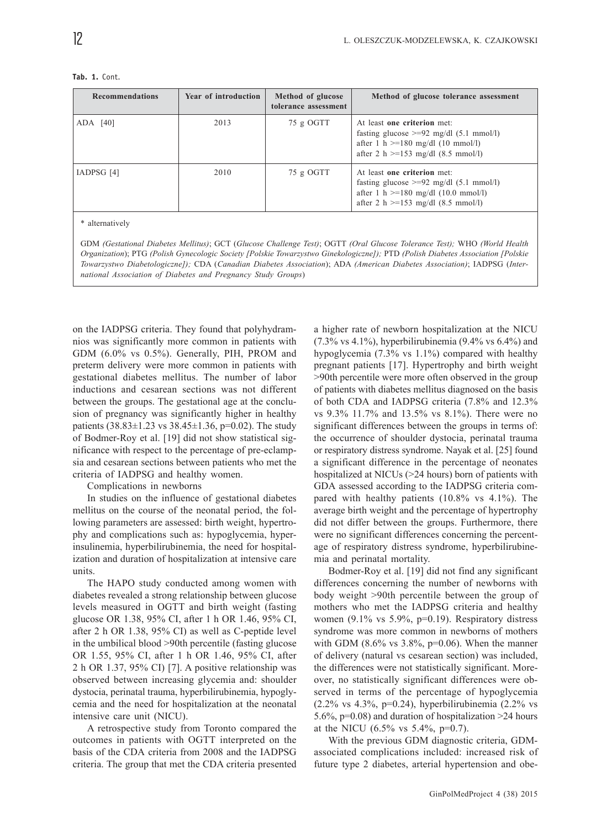| <b>Recommendations</b>                                                                                                                                                                                                                                                                                                                                                                                    | Year of introduction | Method of glucose<br>tolerance assessment | Method of glucose tolerance assessment                                                                                                                         |  |
|-----------------------------------------------------------------------------------------------------------------------------------------------------------------------------------------------------------------------------------------------------------------------------------------------------------------------------------------------------------------------------------------------------------|----------------------|-------------------------------------------|----------------------------------------------------------------------------------------------------------------------------------------------------------------|--|
| $ADA$ [40]                                                                                                                                                                                                                                                                                                                                                                                                | 2013                 | 75 g OGTT                                 | At least one criterion met:<br>fasting glucose $\geq$ =92 mg/dl (5.1 mmol/l)<br>after 1 h $>=180$ mg/dl (10 mmol/l)<br>after 2 h $>=153$ mg/dl (8.5 mmol/l)    |  |
| IADPSG [4]                                                                                                                                                                                                                                                                                                                                                                                                | 2010                 | 75 g OGTT                                 | At least one criterion met:<br>fasting glucose $\geq$ =92 mg/dl (5.1 mmol/l)<br>after 1 h $>=$ 180 mg/dl (10.0 mmol/l)<br>after 2 h $>=153$ mg/dl (8.5 mmol/l) |  |
| * alternatively<br>GDM (Gestational Diabetes Mellitus); GCT (Glucose Challenge Test); OGTT (Oral Glucose Tolerance Test); WHO (World Health<br>Organization); PTG (Polish Gynecologic Society [Polskie Towarzystwo Ginekologiczne]); PTD (Polish Diabetes Association [Polskie<br>Towarzystwo Diabetologiczne]); CDA (Canadian Diabetes Association); ADA (American Diabetes Association); IADPSG (Inter- |                      |                                           |                                                                                                                                                                |  |

#### **Tab. 1.** Cont.

on the IADPSG criteria. They found that polyhydramnios was significantly more common in patients with GDM (6.0% vs 0.5%). Generally, PIH, PROM and preterm delivery were more common in patients with gestational diabetes mellitus. The number of labor inductions and cesarean sections was not different between the groups. The gestational age at the conclusion of pregnancy was significantly higher in healthy patients  $(38.83 \pm 1.23 \text{ vs } 38.45 \pm 1.36, \text{ p=0.02}).$  The study of Bodmer-Roy et al. [19] did not show statistical significance with respect to the percentage of pre-eclampsia and cesarean sections between patients who met the criteria of IADPSG and healthy women.

*national Association of Diabetes and Pregnancy Study Groups*)

Complications in newborns

In studies on the influence of gestational diabetes mellitus on the course of the neonatal period, the following parameters are assessed: birth weight, hypertrophy and complications such as: hypoglycemia, hyperinsulinemia, hyperbilirubinemia, the need for hospitalization and duration of hospitalization at intensive care units.

The HAPO study conducted among women with diabetes revealed a strong relationship between glucose levels measured in OGTT and birth weight (fasting glucose OR 1.38, 95% CI, after 1 h OR 1.46, 95% CI, after 2 h OR 1.38, 95% CI) as well as C-peptide level in the umbilical blood >90th percentile (fasting glucose OR 1.55, 95% CI, after 1 h OR 1.46, 95% CI, after 2 h OR 1.37, 95% CI) [7]. A positive relationship was observed between increasing glycemia and: shoulder dystocia, perinatal trauma, hyperbilirubinemia, hypoglycemia and the need for hospitalization at the neonatal intensive care unit (NICU).

A retrospective study from Toronto compared the outcomes in patients with OGTT interpreted on the basis of the CDA criteria from 2008 and the IADPSG criteria. The group that met the CDA criteria presented a higher rate of newborn hospitalization at the NICU  $(7.3\% \text{ vs } 4.1\%)$ , hyperbilirubinemia  $(9.4\% \text{ vs } 6.4\%)$  and hypoglycemia (7.3% vs 1.1%) compared with healthy pregnant patients [17]. Hypertrophy and birth weight >90th percentile were more often observed in the group of patients with diabetes mellitus diagnosed on the basis of both CDA and IADPSG criteria (7.8% and 12.3% vs 9.3% 11.7% and 13.5% vs 8.1%). There were no significant differences between the groups in terms of: the occurrence of shoulder dystocia, perinatal trauma or respiratory distress syndrome. Nayak et al. [25] found a significant difference in the percentage of neonates hospitalized at NICUs (>24 hours) born of patients with GDA assessed according to the IADPSG criteria compared with healthy patients (10.8% vs 4.1%). The average birth weight and the percentage of hypertrophy did not differ between the groups. Furthermore, there were no significant differences concerning the percentage of respiratory distress syndrome, hyperbilirubinemia and perinatal mortality.

Bodmer-Roy et al. [19] did not find any significant differences concerning the number of newborns with body weight >90th percentile between the group of mothers who met the IADPSG criteria and healthy women (9.1% vs 5.9%, p=0.19). Respiratory distress syndrome was more common in newborns of mothers with GDM (8.6% vs  $3.8\%$ , p=0.06). When the manner of delivery (natural vs cesarean section) was included, the differences were not statistically significant. Moreover, no statistically significant differences were observed in terms of the percentage of hypoglycemia (2.2% vs 4.3%, p=0.24), hyperbilirubinemia (2.2% vs 5.6%, p=0.08) and duration of hospitalization >24 hours at the NICU  $(6.5\% \text{ vs } 5.4\%, \text{ p=0.7}).$ 

With the previous GDM diagnostic criteria, GDMassociated complications included: increased risk of future type 2 diabetes, arterial hypertension and obe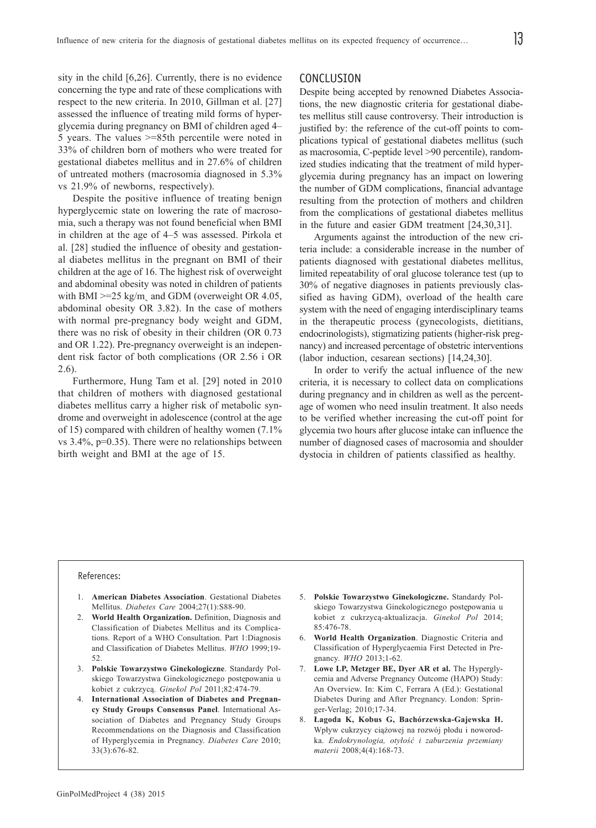sity in the child [6,26]. Currently, there is no evidence concerning the type and rate of these complications with respect to the new criteria. In 2010, Gillman et al. [27] assessed the influence of treating mild forms of hyperglycemia during pregnancy on BMI of children aged 4– 5 years. The values >=85th percentile were noted in 33% of children born of mothers who were treated for gestational diabetes mellitus and in 27.6% of children of untreated mothers (macrosomia diagnosed in 5.3% vs 21.9% of newborns, respectively).

Despite the positive influence of treating benign hyperglycemic state on lowering the rate of macrosomia, such a therapy was not found beneficial when BMI in children at the age of 4–5 was assessed. Pirkola et al. [28] studied the influence of obesity and gestational diabetes mellitus in the pregnant on BMI of their children at the age of 16. The highest risk of overweight and abdominal obesity was noted in children of patients with BMI  $>=$  25 kg/m, and GDM (overweight OR 4.05, abdominal obesity OR 3.82). In the case of mothers with normal pre-pregnancy body weight and GDM, there was no risk of obesity in their children (OR 0.73 and OR 1.22). Pre-pregnancy overweight is an independent risk factor of both complications (OR 2.56 i OR 2.6).

Furthermore, Hung Tam et al. [29] noted in 2010 that children of mothers with diagnosed gestational diabetes mellitus carry a higher risk of metabolic syndrome and overweight in adolescence (control at the age of 15) compared with children of healthy women (7.1% vs 3.4%, p=0.35). There were no relationships between birth weight and BMI at the age of 15.

# CONCLUSION

Despite being accepted by renowned Diabetes Associations, the new diagnostic criteria for gestational diabetes mellitus still cause controversy. Their introduction is justified by: the reference of the cut-off points to complications typical of gestational diabetes mellitus (such as macrosomia, C-peptide level >90 percentile), randomized studies indicating that the treatment of mild hyperglycemia during pregnancy has an impact on lowering the number of GDM complications, financial advantage resulting from the protection of mothers and children from the complications of gestational diabetes mellitus in the future and easier GDM treatment [24,30,31].

Arguments against the introduction of the new criteria include: a considerable increase in the number of patients diagnosed with gestational diabetes mellitus, limited repeatability of oral glucose tolerance test (up to 30% of negative diagnoses in patients previously classified as having GDM), overload of the health care system with the need of engaging interdisciplinary teams in the therapeutic process (gynecologists, dietitians, endocrinologists), stigmatizing patients (higher-risk pregnancy) and increased percentage of obstetric interventions (labor induction, cesarean sections) [14,24,30].

In order to verify the actual influence of the new criteria, it is necessary to collect data on complications during pregnancy and in children as well as the percentage of women who need insulin treatment. It also needs to be verified whether increasing the cut-off point for glycemia two hours after glucose intake can influence the number of diagnosed cases of macrosomia and shoulder dystocia in children of patients classified as healthy.

## References:

- 1. **American Diabetes Association**. Gestational Diabetes Mellitus. *Diabetes Care* 2004;27(1):S88-90.
- 2. **World Health Organization.** Definition, Diagnosis and Classification of Diabetes Mellitus and its Complications. Report of a WHO Consultation. Part 1:Diagnosis and Classification of Diabetes Mellitus. *WHO* 1999;19- 52.
- 3. **Polskie Towarzystwo Ginekologiczne**. Standardy Polskiego Towarzystwa Ginekologicznego postępowania u kobiet z cukrzyc¹. *Ginekol Pol* 2011;82:474-79.
- 4. **International Association of Diabetes and Pregnancy Study Groups Consensus Panel**. International Association of Diabetes and Pregnancy Study Groups Recommendations on the Diagnosis and Classification of Hyperglycemia in Pregnancy. *Diabetes Care* 2010; 33(3):676-82.
- 5. **Polskie Towarzystwo Ginekologiczne.** Standardy Polskiego Towarzystwa Ginekologicznego postępowania u kobiet z cukrzycą-aktualizacja. *Ginekol Pol* 2014; 85:476-78.
- 6. **World Health Organization**. Diagnostic Criteria and Classification of Hyperglycaemia First Detected in Pregnancy. *WHO* 2013;1-62.
- 7. **Lowe LP, Metzger BE, Dyer AR et al.** The Hyperglycemia and Adverse Pregnancy Outcome (HAPO) Study: An Overview. In: Kim C, Ferrara A (Ed.): Gestational Diabetes During and After Pregnancy. London: Springer-Verlag; 2010;17-34.
- 8. **£agoda K, Kobus G, Bachórzewska-Gajewska H.** Wpływ cukrzycy ciążowej na rozwój płodu i noworodka. *Endokrynologia, otyłość i zaburzenia przemiany materii* 2008;4(4):168-73.